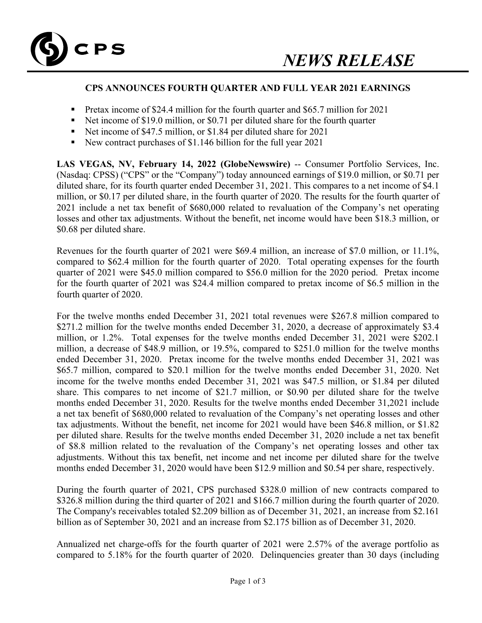

## **CPS ANNOUNCES FOURTH QUARTER AND FULL YEAR 2021 EARNINGS**

- Pretax income of \$24.4 million for the fourth quarter and \$65.7 million for 2021
- Net income of \$19.0 million, or \$0.71 per diluted share for the fourth quarter
- Net income of \$47.5 million, or \$1.84 per diluted share for 2021
- New contract purchases of \$1.146 billion for the full year 2021

LAS VEGAS, NV, February 14, 2022 (GlobeNewswire) -- Consumer Portfolio Services, Inc. (Nasdaq: CPSS) ("CPS" or the "Company") today announced earnings of \$19.0 million, or \$0.71 per diluted share, for its fourth quarter ended December 31, 2021. This compares to a net income of \$4.1 million, or \$0.17 per diluted share, in the fourth quarter of 2020. The results for the fourth quarter of 2021 include a net tax benefit of \$680,000 related to revaluation of the Company's net operating losses and other tax adjustments. Without the benefit, net income would have been \$18.3 million, or \$0.68 per diluted share.

Revenues for the fourth quarter of 2021 were \$69.4 million, an increase of \$7.0 million, or 11.1%, compared to \$62.4 million for the fourth quarter of 2020. Total operating expenses for the fourth quarter of 2021 were \$45.0 million compared to \$56.0 million for the 2020 period. Pretax income for the fourth quarter of 2021 was \$24.4 million compared to pretax income of \$6.5 million in the fourth quarter of 2020.

For the twelve months ended December 31, 2021 total revenues were \$267.8 million compared to \$271.2 million for the twelve months ended December 31, 2020, a decrease of approximately \$3.4 million, or 1.2%. Total expenses for the twelve months ended December 31, 2021 were \$202.1 million, a decrease of \$48.9 million, or 19.5%, compared to \$251.0 million for the twelve months ended December 31, 2020. Pretax income for the twelve months ended December 31, 2021 was \$65.7 million, compared to \$20.1 million for the twelve months ended December 31, 2020. Net income for the twelve months ended December 31, 2021 was \$47.5 million, or \$1.84 per diluted share. This compares to net income of \$21.7 million, or \$0.90 per diluted share for the twelve months ended December 31, 2020. Results for the twelve months ended December 31,2021 include a net tax benefit of \$680,000 related to revaluation of the Company's net operating losses and other tax adjustments. Without the benefit, net income for 2021 would have been \$46.8 million, or \$1.82 per diluted share. Results for the twelve months ended December 31, 2020 include a net tax benefit of \$8.8 million related to the revaluation of the Company's net operating losses and other tax adjustments. Without this tax benefit, net income and net income per diluted share for the twelve months ended December 31, 2020 would have been \$12.9 million and \$0.54 per share, respectively.

During the fourth quarter of 2021, CPS purchased \$328.0 million of new contracts compared to \$326.8 million during the third quarter of 2021 and \$166.7 million during the fourth quarter of 2020. The Company's receivables totaled \$2.209 billion as of December 31, 2021, an increase from \$2.161 billion as of September 30, 2021 and an increase from \$2.175 billion as of December 31, 2020.

Annualized net charge-offs for the fourth quarter of 2021 were 2.57% of the average portfolio as compared to 5.18% for the fourth quarter of 2020. Delinquencies greater than 30 days (including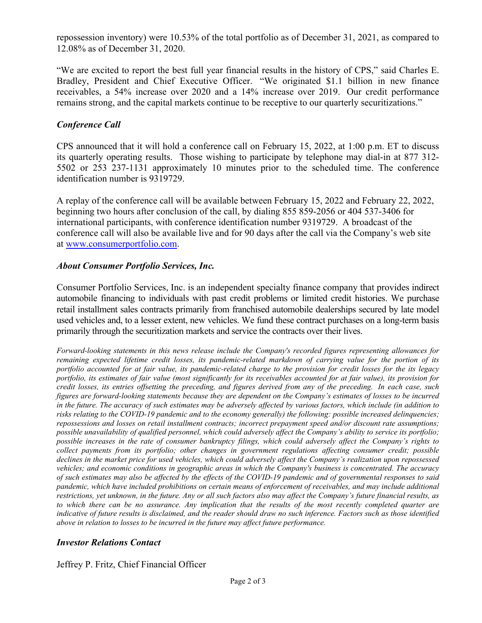repossession inventory) were 10.53% of the total portfolio as of December 31, 2021, as compared to 12.08% as of December 31, 2020.

"We are excited to report the best full year financial results in the history of CPS," said Charles E. Bradley, President and Chief Executive Officer. "We originated \$1.1 billion in new finance receivables, a 54% increase over 2020 and a 14% increase over 2019. Our credit performance remains strong, and the capital markets continue to be receptive to our quarterly securitizations."

## *Conference Call*

CPS announced that it will hold a conference call on February 15, 2022, at 1:00 p.m. ET to discuss its quarterly operating results. Those wishing to participate by telephone may dial-in at 877 312- 5502 or 253 237-1131 approximately 10 minutes prior to the scheduled time. The conference identification number is 9319729.

A replay of the conference call will be available between February 15, 2022 and February 22, 2022, beginning two hours after conclusion of the call, by dialing 855 859-2056 or 404 537-3406 for international participants, with conference identification number 9319729. A broadcast of the conference call will also be available live and for 90 days after the call via the Company's web site at www.consumerportfolio.com.

## *About Consumer Portfolio Services, Inc.*

Consumer Portfolio Services, Inc. is an independent specialty finance company that provides indirect automobile financing to individuals with past credit problems or limited credit histories. We purchase retail installment sales contracts primarily from franchised automobile dealerships secured by late model used vehicles and, to a lesser extent, new vehicles. We fund these contract purchases on a long-term basis primarily through the securitization markets and service the contracts over their lives.

*Forward-looking statements in this news release include the Company's recorded figures representing allowances for remaining expected lifetime credit losses, its pandemic-related markdown of carrying value for the portion of its portfolio accounted for at fair value, its pandemic-related charge to the provision for credit losses for the its legacy portfolio, its estimates of fair value (most significantly for its receivables accounted for at fair value), its provision for credit losses, its entries offsetting the preceding, and figures derived from any of the preceding. In each case, such figures are forward-looking statements because they are dependent on the Company's estimates of losses to be incurred in the future. The accuracy of such estimates may be adversely affected by various factors, which include (in addition to risks relating to the COVID-19 pandemic and to the economy generally) the following: possible increased delinquencies; repossessions and losses on retail installment contracts; incorrect prepayment speed and/or discount rate assumptions; possible unavailability of qualified personnel, which could adversely affect the Company's ability to service its portfolio; possible increases in the rate of consumer bankruptcy filings, which could adversely affect the Company's rights to collect payments from its portfolio; other changes in government regulations affecting consumer credit; possible declines in the market price for used vehicles, which could adversely affect the Company's realization upon repossessed vehicles; and economic conditions in geographic areas in which the Company's business is concentrated. The accuracy of such estimates may also be affected by the effects of the COVID-19 pandemic and of governmental responses to said pandemic, which have included prohibitions on certain means of enforcement of receivables, and may include additional restrictions, yet unknown, in the future. Any or all such factors also may affect the Company's future financial results, as to which there can be no assurance. Any implication that the results of the most recently completed quarter are indicative of future results is disclaimed, and the reader should draw no such inference. Factors such as those identified above in relation to losses to be incurred in the future may affect future performance.* 

# *Investor Relations Contact*

Jeffrey P. Fritz, Chief Financial Officer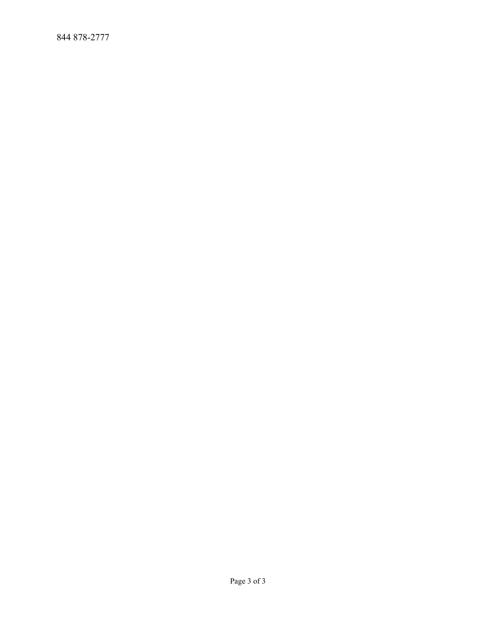844 878-2777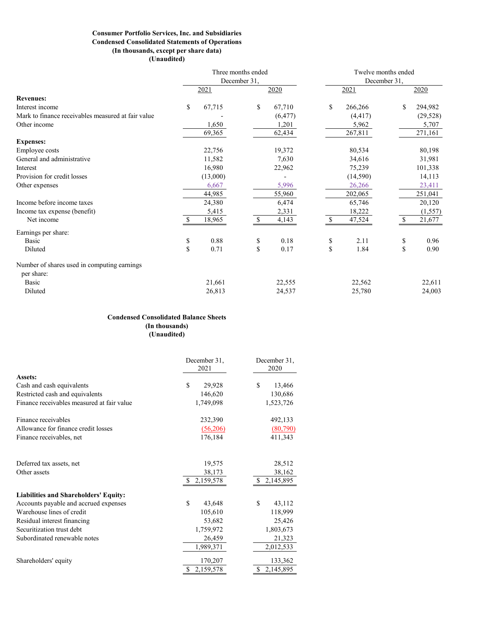#### **Consumer Portfolio Services, Inc. and Subsidiaries Condensed Consolidated Statements of Operations (In thousands, except per share data) (Unaudited)**

|                                                    |              |          | Three months ended |          | Twelve months ended<br>December 31, |           |      |           |  |  |
|----------------------------------------------------|--------------|----------|--------------------|----------|-------------------------------------|-----------|------|-----------|--|--|
|                                                    |              |          | December 31,       |          |                                     |           |      |           |  |  |
|                                                    |              | 2021     |                    | 2020     |                                     | 2021      | 2020 |           |  |  |
| <b>Revenues:</b>                                   |              |          |                    |          |                                     |           |      |           |  |  |
| Interest income                                    | \$           | 67,715   | \$                 | 67,710   | \$                                  | 266,266   | \$   | 294,982   |  |  |
| Mark to finance receivables measured at fair value |              |          |                    | (6, 477) |                                     | (4, 417)  |      | (29, 528) |  |  |
| Other income                                       |              | 1,650    |                    | 1,201    |                                     | 5,962     |      | 5,707     |  |  |
|                                                    |              | 69,365   |                    | 62,434   |                                     | 267,811   |      | 271,161   |  |  |
| <b>Expenses:</b>                                   |              |          |                    |          |                                     |           |      |           |  |  |
| Employee costs                                     |              | 22,756   |                    | 19,372   |                                     | 80,534    |      | 80,198    |  |  |
| General and administrative                         |              | 11,582   |                    | 7,630    |                                     | 34,616    |      | 31,981    |  |  |
| Interest                                           |              | 16,980   |                    | 22,962   |                                     | 75,239    |      | 101,338   |  |  |
| Provision for credit losses                        |              | (13,000) |                    |          |                                     | (14, 590) |      | 14,113    |  |  |
| Other expenses                                     |              | 6,667    |                    | 5,996    |                                     | 26,266    |      | 23,411    |  |  |
|                                                    |              | 44,985   |                    | 55,960   |                                     | 202,065   |      | 251,041   |  |  |
| Income before income taxes                         |              | 24,380   |                    | 6,474    |                                     | 65,746    |      | 20,120    |  |  |
| Income tax expense (benefit)                       |              | 5,415    |                    | 2,331    |                                     | 18,222    |      | (1,557)   |  |  |
| Net income                                         | <sup>S</sup> | 18,965   | -S                 | 4,143    | \$                                  | 47,524    | -S   | 21,677    |  |  |
| Earnings per share:                                |              |          |                    |          |                                     |           |      |           |  |  |
| Basic                                              | \$           | 0.88     | \$                 | 0.18     | \$                                  | 2.11      | \$   | 0.96      |  |  |
| Diluted                                            | \$           | 0.71     | \$                 | 0.17     | \$                                  | 1.84      | \$   | 0.90      |  |  |
| Number of shares used in computing earnings        |              |          |                    |          |                                     |           |      |           |  |  |
| per share:                                         |              |          |                    |          |                                     |           |      |           |  |  |
| Basic                                              |              | 21,661   |                    | 22,555   |                                     | 22,562    |      | 22,611    |  |  |
| Diluted                                            |              | 26,813   |                    | 24,537   |                                     | 25,780    |      | 24,003    |  |  |

### **Condensed Consolidated Balance Sheets (In thousands) (Unaudited)**

|                                              | December 31,<br>2021 | December 31,<br>2020 |  |  |
|----------------------------------------------|----------------------|----------------------|--|--|
| Assets:                                      |                      |                      |  |  |
| Cash and cash equivalents                    | \$<br>29,928         | S<br>13,466          |  |  |
| Restricted cash and equivalents              | 146,620              | 130,686              |  |  |
| Finance receivables measured at fair value   | 1,749,098            | 1,523,726            |  |  |
| Finance receivables                          | 232,390              | 492,133              |  |  |
| Allowance for finance credit losses          | (56,206)             | (80,790)             |  |  |
| Finance receivables, net                     | 176,184              | 411,343              |  |  |
| Deferred tax assets, net                     | 19,575               | 28,512               |  |  |
| Other assets                                 | 38,173               | 38,162               |  |  |
|                                              | \$.<br>2,159,578     | 2,145,895<br>\$.     |  |  |
| <b>Liabilities and Shareholders' Equity:</b> |                      |                      |  |  |
| Accounts payable and accrued expenses        | S<br>43,648          | S<br>43,112          |  |  |
| Warehouse lines of credit                    | 105,610              | 118,999              |  |  |
| Residual interest financing                  | 53,682               | 25,426               |  |  |
| Securitization trust debt                    | 1,759,972            | 1,803,673            |  |  |
| Subordinated renewable notes                 | 26,459               | 21,323               |  |  |
|                                              | 1,989,371            | 2,012,533            |  |  |
| Shareholders' equity                         | 170,207              | 133,362              |  |  |
|                                              | S.<br>2,159,578      | S<br>2,145,895       |  |  |